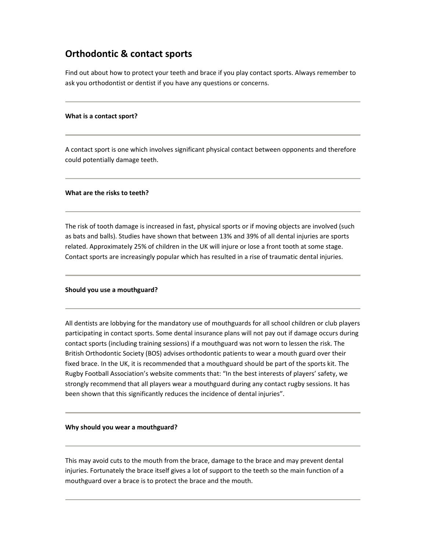# **Orthodontic & contact sports**

Find out about how to protect your teeth and brace if you play contact sports. Always remember to ask you orthodontist or dentist if you have any questions or concerns.

## **What is a contact sport?**

A contact sport is one which involves significant physical contact between opponents and therefore could potentially damage teeth.

#### **What are the risks to teeth?**

The risk of tooth damage is increased in fast, physical sports or if moving objects are involved (such as bats and balls). Studies have shown that between 13% and 39% of all dental injuries are sports related. Approximately 25% of children in the UK will injure or lose a front tooth at some stage. Contact sports are increasingly popular which has resulted in a rise of traumatic dental injuries.

#### **Should you use a mouthguard?**

All dentists are lobbying for the mandatory use of mouthguards for all school children or club players participating in contact sports. Some dental insurance plans will not pay out if damage occurs during contact sports (including training sessions) if a mouthguard was not worn to lessen the risk. The British Orthodontic Society (BOS) advises orthodontic patients to wear a mouth guard over their fixed brace. In the UK, it is recommended that a mouthguard should be part of the sports kit. The Rugby Football Association's website comments that: "In the best interests of players' safety, we strongly recommend that all players wear a mouthguard during any contact rugby sessions. It has been shown that this significantly reduces the incidence of dental injuries".

#### **Why should you wear a mouthguard?**

This may avoid cuts to the mouth from the brace, damage to the brace and may prevent dental injuries. Fortunately the brace itself gives a lot of support to the teeth so the main function of a mouthguard over a brace is to protect the brace and the mouth.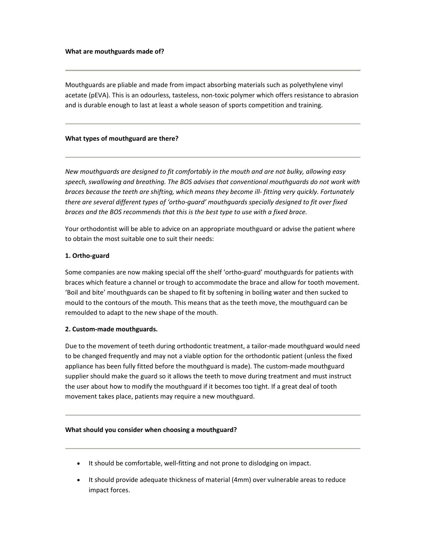Mouthguards are pliable and made from impact absorbing materials such as polyethylene vinyl acetate (pEVA). This is an odourless, tasteless, non‐toxic polymer which offers resistance to abrasion and is durable enough to last at least a whole season of sports competition and training.

## **What types of mouthguard are there?**

*New mouthguards are designed to fit comfortably in the mouth and are not bulky, allowing easy speech, swallowing and breathing. The BOS advises that conventional mouthguards do not work with braces because the teeth are shifting, which means they become ill‐ fitting very quickly. Fortunately there are several different types of 'ortho‐guard' mouthguards specially designed to fit over fixed braces and the BOS recommends that this is the best type to use with a fixed brace.*

Your orthodontist will be able to advice on an appropriate mouthguard or advise the patient where to obtain the most suitable one to suit their needs:

# **1. Ortho‐guard**

Some companies are now making special off the shelf 'ortho-guard' mouthguards for patients with braces which feature a channel or trough to accommodate the brace and allow for tooth movement. 'Boil and bite' mouthguards can be shaped to fit by softening in boiling water and then sucked to mould to the contours of the mouth. This means that as the teeth move, the mouthguard can be remoulded to adapt to the new shape of the mouth.

# **2. Custom‐made mouthguards.**

Due to the movement of teeth during orthodontic treatment, a tailor-made mouthguard would need to be changed frequently and may not a viable option for the orthodontic patient (unless the fixed appliance has been fully fitted before the mouthguard is made). The custom-made mouthguard supplier should make the guard so it allows the teeth to move during treatment and must instruct the user about how to modify the mouthguard if it becomes too tight. If a great deal of tooth movement takes place, patients may require a new mouthguard.

## **What should you consider when choosing a mouthguard?**

- It should be comfortable, well-fitting and not prone to dislodging on impact.
- It should provide adequate thickness of material (4mm) over vulnerable areas to reduce impact forces.